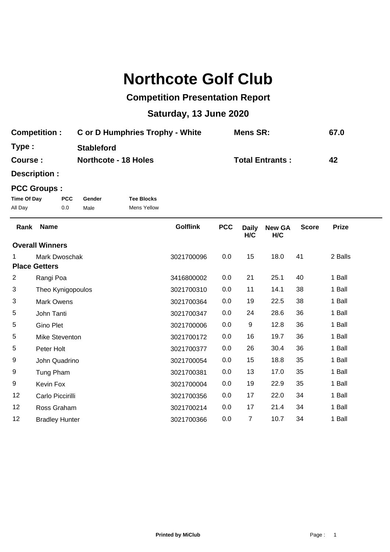## **Northcote Golf Club**

## **Competition Presentation Report**

## **Saturday, 13 June 2020**

| <b>Competition:</b> | C or D Humphries Trophy - White | Mens SR:               | 67.0 |
|---------------------|---------------------------------|------------------------|------|
| Type:               | <b>Stableford</b>               |                        |      |
| Course :            | <b>Northcote - 18 Holes</b>     | <b>Total Entrants:</b> | 42   |

**Description :**

## **PCC Groups :**

| Time Of Day | <b>PCC</b> | Gender | <b>Tee Blocks</b> |
|-------------|------------|--------|-------------------|
| All Day     | 0.0        | Male   | Mens Yellow       |

| Rank           | <b>Name</b>            | <b>Golflink</b> | <b>PCC</b> | <b>Daily</b><br>H/C | <b>New GA</b><br>H/C | <b>Score</b> | <b>Prize</b> |  |
|----------------|------------------------|-----------------|------------|---------------------|----------------------|--------------|--------------|--|
|                | <b>Overall Winners</b> |                 |            |                     |                      |              |              |  |
| 1              | Mark Dwoschak          | 3021700096      | 0.0        | 15                  | 18.0                 | 41           | 2 Balls      |  |
|                | <b>Place Getters</b>   |                 |            |                     |                      |              |              |  |
| $\overline{2}$ | Rangi Poa              | 3416800002      | 0.0        | 21                  | 25.1                 | 40           | 1 Ball       |  |
| 3              | Theo Kynigopoulos      | 3021700310      | 0.0        | 11                  | 14.1                 | 38           | 1 Ball       |  |
| 3              | <b>Mark Owens</b>      | 3021700364      | 0.0        | 19                  | 22.5                 | 38           | 1 Ball       |  |
| 5              | John Tanti             | 3021700347      | 0.0        | 24                  | 28.6                 | 36           | 1 Ball       |  |
| 5              | <b>Gino Plet</b>       | 3021700006      | 0.0        | 9                   | 12.8                 | 36           | 1 Ball       |  |
| 5              | Mike Steventon         | 3021700172      | 0.0        | 16                  | 19.7                 | 36           | 1 Ball       |  |
| 5              | Peter Holt             | 3021700377      | 0.0        | 26                  | 30.4                 | 36           | 1 Ball       |  |
| 9              | John Quadrino          | 3021700054      | 0.0        | 15                  | 18.8                 | 35           | 1 Ball       |  |
| 9              | Tung Pham              | 3021700381      | 0.0        | 13                  | 17.0                 | 35           | 1 Ball       |  |
| 9              | Kevin Fox              | 3021700004      | 0.0        | 19                  | 22.9                 | 35           | 1 Ball       |  |
| 12             | Carlo Piccirilli       | 3021700356      | 0.0        | 17                  | 22.0                 | 34           | 1 Ball       |  |
| 12             | Ross Graham            | 3021700214      | 0.0        | 17                  | 21.4                 | 34           | 1 Ball       |  |
| 12             | <b>Bradley Hunter</b>  | 3021700366      | 0.0        | 7                   | 10.7                 | 34           | 1 Ball       |  |